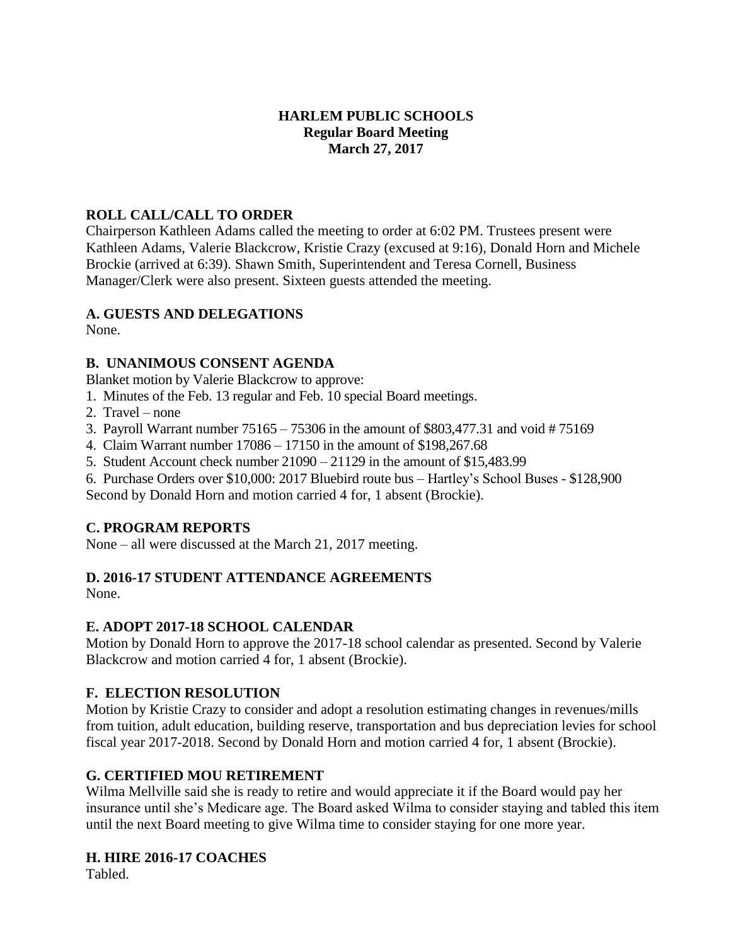## **HARLEM PUBLIC SCHOOLS Regular Board Meeting March 27, 2017**

# **ROLL CALL/CALL TO ORDER**

Chairperson Kathleen Adams called the meeting to order at 6:02 PM. Trustees present were Kathleen Adams, Valerie Blackcrow, Kristie Crazy (excused at 9:16), Donald Horn and Michele Brockie (arrived at 6:39). Shawn Smith, Superintendent and Teresa Cornell, Business Manager/Clerk were also present. Sixteen guests attended the meeting.

#### **A. GUESTS AND DELEGATIONS**

None.

#### **B. UNANIMOUS CONSENT AGENDA**

Blanket motion by Valerie Blackcrow to approve:

- 1. Minutes of the Feb. 13 regular and Feb. 10 special Board meetings.
- 2. Travel none
- 3. Payroll Warrant number 75165 75306 in the amount of \$803,477.31 and void # 75169
- 4. Claim Warrant number 17086 17150 in the amount of \$198,267.68
- 5. Student Account check number 21090 21129 in the amount of \$15,483.99
- 6. Purchase Orders over \$10,000: 2017 Bluebird route bus Hartley's School Buses \$128,900

Second by Donald Horn and motion carried 4 for, 1 absent (Brockie).

# **C. PROGRAM REPORTS**

None – all were discussed at the March 21, 2017 meeting.

# **D. 2016-17 STUDENT ATTENDANCE AGREEMENTS**

None.

## **E. ADOPT 2017-18 SCHOOL CALENDAR**

Motion by Donald Horn to approve the 2017-18 school calendar as presented. Second by Valerie Blackcrow and motion carried 4 for, 1 absent (Brockie).

## **F. ELECTION RESOLUTION**

Motion by Kristie Crazy to consider and adopt a resolution estimating changes in revenues/mills from tuition, adult education, building reserve, transportation and bus depreciation levies for school fiscal year 2017-2018. Second by Donald Horn and motion carried 4 for, 1 absent (Brockie).

## **G. CERTIFIED MOU RETIREMENT**

Wilma Mellville said she is ready to retire and would appreciate it if the Board would pay her insurance until she's Medicare age. The Board asked Wilma to consider staying and tabled this item until the next Board meeting to give Wilma time to consider staying for one more year.

## **H. HIRE 2016-17 COACHES**

Tabled.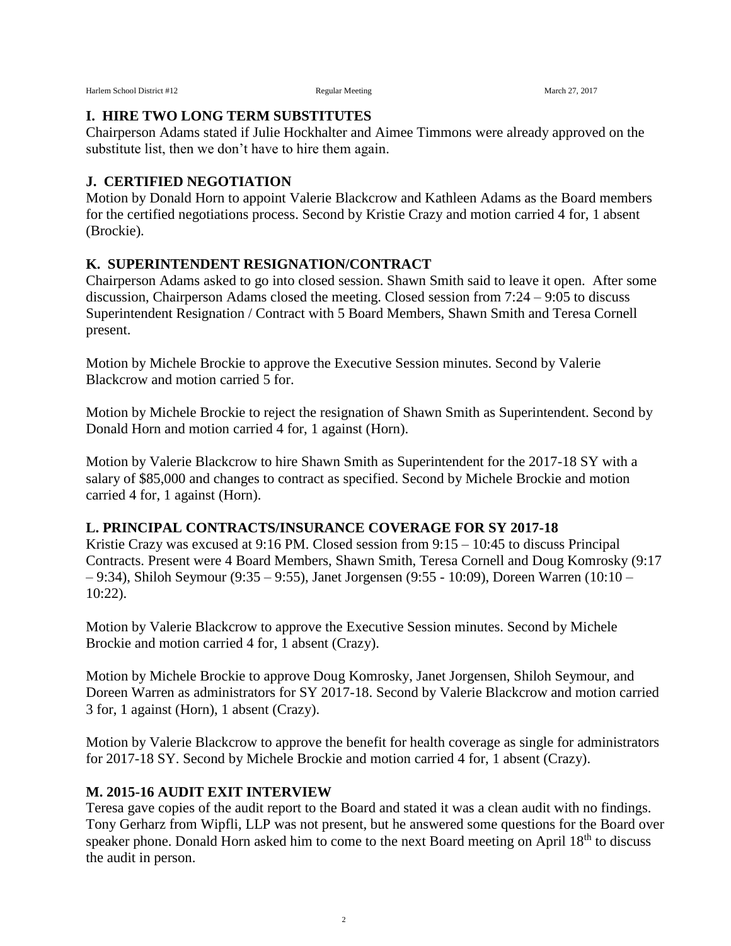Harlem School District #12 **Regular Meeting** Regular Meeting March 27, 2017

#### **I. HIRE TWO LONG TERM SUBSTITUTES**

Chairperson Adams stated if Julie Hockhalter and Aimee Timmons were already approved on the substitute list, then we don't have to hire them again.

#### **J. CERTIFIED NEGOTIATION**

Motion by Donald Horn to appoint Valerie Blackcrow and Kathleen Adams as the Board members for the certified negotiations process. Second by Kristie Crazy and motion carried 4 for, 1 absent (Brockie).

# **K. SUPERINTENDENT RESIGNATION/CONTRACT**

Chairperson Adams asked to go into closed session. Shawn Smith said to leave it open. After some discussion, Chairperson Adams closed the meeting. Closed session from 7:24 – 9:05 to discuss Superintendent Resignation / Contract with 5 Board Members, Shawn Smith and Teresa Cornell present.

Motion by Michele Brockie to approve the Executive Session minutes. Second by Valerie Blackcrow and motion carried 5 for.

Motion by Michele Brockie to reject the resignation of Shawn Smith as Superintendent. Second by Donald Horn and motion carried 4 for, 1 against (Horn).

Motion by Valerie Blackcrow to hire Shawn Smith as Superintendent for the 2017-18 SY with a salary of \$85,000 and changes to contract as specified. Second by Michele Brockie and motion carried 4 for, 1 against (Horn).

## **L. PRINCIPAL CONTRACTS/INSURANCE COVERAGE FOR SY 2017-18**

Kristie Crazy was excused at 9:16 PM. Closed session from  $9:15 - 10:45$  to discuss Principal Contracts. Present were 4 Board Members, Shawn Smith, Teresa Cornell and Doug Komrosky (9:17 – 9:34), Shiloh Seymour (9:35 – 9:55), Janet Jorgensen (9:55 - 10:09), Doreen Warren (10:10 – 10:22).

Motion by Valerie Blackcrow to approve the Executive Session minutes. Second by Michele Brockie and motion carried 4 for, 1 absent (Crazy).

Motion by Michele Brockie to approve Doug Komrosky, Janet Jorgensen, Shiloh Seymour, and Doreen Warren as administrators for SY 2017-18. Second by Valerie Blackcrow and motion carried 3 for, 1 against (Horn), 1 absent (Crazy).

Motion by Valerie Blackcrow to approve the benefit for health coverage as single for administrators for 2017-18 SY. Second by Michele Brockie and motion carried 4 for, 1 absent (Crazy).

## **M. 2015-16 AUDIT EXIT INTERVIEW**

Teresa gave copies of the audit report to the Board and stated it was a clean audit with no findings. Tony Gerharz from Wipfli, LLP was not present, but he answered some questions for the Board over speaker phone. Donald Horn asked him to come to the next Board meeting on April 18<sup>th</sup> to discuss the audit in person.